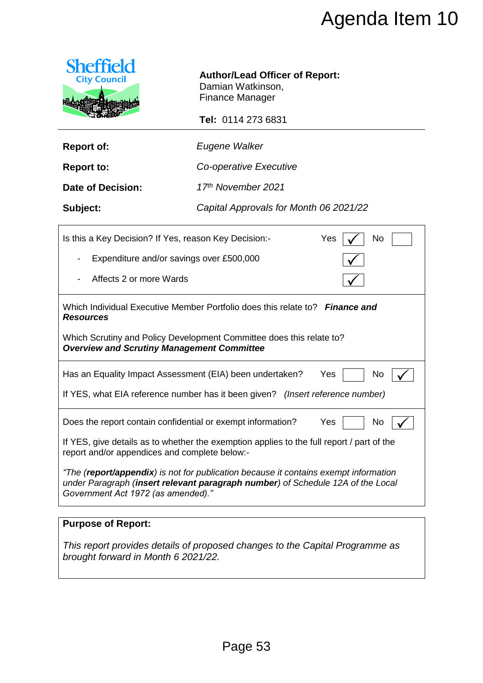

# **Author/Lead Officer of Report:**

|                                                                                                                                                         | Agenda Item 10                                                                                                                                                                                          |  |
|---------------------------------------------------------------------------------------------------------------------------------------------------------|---------------------------------------------------------------------------------------------------------------------------------------------------------------------------------------------------------|--|
| <b>Sheffield</b><br><b>City Council</b>                                                                                                                 | <b>Author/Lead Officer of Report:</b><br>Damian Watkinson,<br><b>Finance Manager</b><br>Tel: 0114 273 6831                                                                                              |  |
| <b>Report of:</b>                                                                                                                                       | Eugene Walker                                                                                                                                                                                           |  |
| <b>Report to:</b>                                                                                                                                       | Co-operative Executive                                                                                                                                                                                  |  |
| <b>Date of Decision:</b>                                                                                                                                | 17th November 2021                                                                                                                                                                                      |  |
| Subject:                                                                                                                                                | Capital Approvals for Month 06 2021/22                                                                                                                                                                  |  |
| No<br>Is this a Key Decision? If Yes, reason Key Decision:-<br>Yes<br>Expenditure and/or savings over £500,000<br>Affects 2 or more Wards               |                                                                                                                                                                                                         |  |
| <b>Resources</b><br><b>Overview and Scrutiny Management Committee</b>                                                                                   | Which Individual Executive Member Portfolio does this relate to? Finance and<br>Which Scrutiny and Policy Development Committee does this relate to?                                                    |  |
| Has an Equality Impact Assessment (EIA) been undertaken?<br>Yes<br>No<br>If YES, what EIA reference number has it been given? (Insert reference number) |                                                                                                                                                                                                         |  |
| Does the report contain confidential or exempt information?<br>report and/or appendices and complete below:-                                            | Yes<br>No<br>If YES, give details as to whether the exemption applies to the full report / part of the<br>"The ( <b>report/appendix</b> ) is not for publication because it contains exempt information |  |
| Government Act 1972 (as amended)."                                                                                                                      | under Paragraph (insert relevant paragraph number) of Schedule 12A of the Local                                                                                                                         |  |
|                                                                                                                                                         |                                                                                                                                                                                                         |  |

# **Purpose of Report:**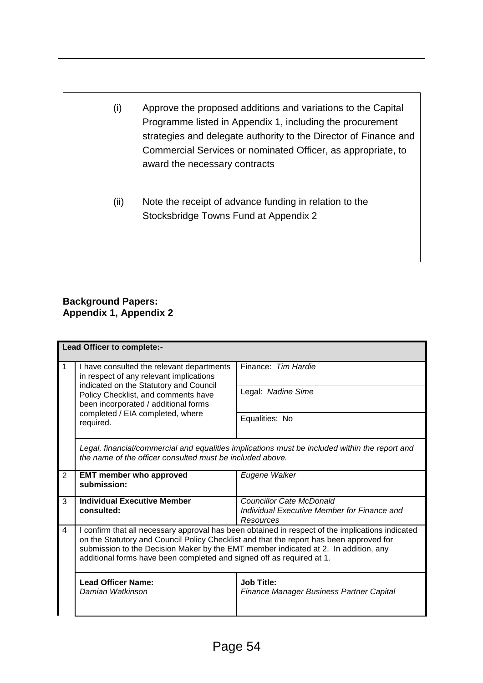- (i) Approve the proposed additions and variations to the Capital Programme listed in Appendix 1, including the procurement strategies and delegate authority to the Director of Finance and Commercial Services or nominated Officer, as appropriate, to award the necessary contracts
	- (ii) Note the receipt of advance funding in relation to the Stocksbridge Towns Fund at Appendix 2

# **Background Papers: Appendix 1, Appendix 2**

| Lead Officer to complete:- |                                                                                                                                                                                                                                                                                                                                                             |                                                                                      |  |
|----------------------------|-------------------------------------------------------------------------------------------------------------------------------------------------------------------------------------------------------------------------------------------------------------------------------------------------------------------------------------------------------------|--------------------------------------------------------------------------------------|--|
| 1                          | I have consulted the relevant departments<br>in respect of any relevant implications<br>indicated on the Statutory and Council<br>Policy Checklist, and comments have<br>been incorporated / additional forms<br>completed / EIA completed, where<br>required.                                                                                              | Finance: Tim Hardie                                                                  |  |
|                            |                                                                                                                                                                                                                                                                                                                                                             | Legal: Nadine Sime                                                                   |  |
|                            |                                                                                                                                                                                                                                                                                                                                                             | Equalities: No                                                                       |  |
|                            | Legal, financial/commercial and equalities implications must be included within the report and<br>the name of the officer consulted must be included above.                                                                                                                                                                                                 |                                                                                      |  |
| 2                          | <b>EMT member who approved</b><br>submission:                                                                                                                                                                                                                                                                                                               | Eugene Walker                                                                        |  |
| 3                          | <b>Individual Executive Member</b><br>consulted:                                                                                                                                                                                                                                                                                                            | Councillor Cate McDonald<br>Individual Executive Member for Finance and<br>Resources |  |
| 4                          | I confirm that all necessary approval has been obtained in respect of the implications indicated<br>on the Statutory and Council Policy Checklist and that the report has been approved for<br>submission to the Decision Maker by the EMT member indicated at 2. In addition, any<br>additional forms have been completed and signed off as required at 1. |                                                                                      |  |
|                            | <b>Lead Officer Name:</b><br>Damian Watkinson                                                                                                                                                                                                                                                                                                               | <b>Job Title:</b><br><b>Finance Manager Business Partner Capital</b>                 |  |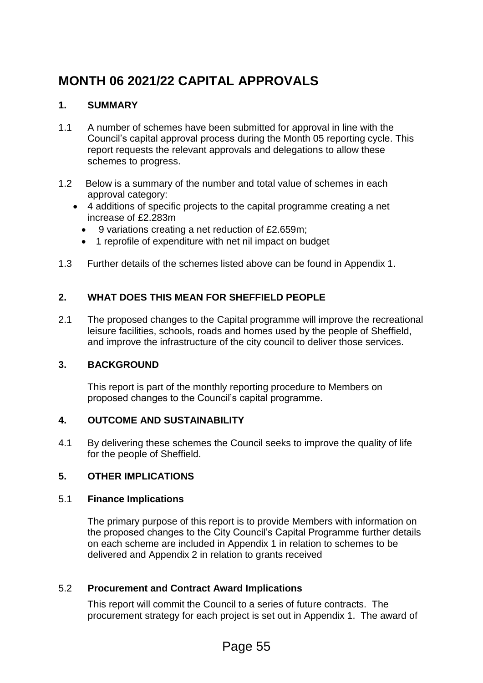# **MONTH 06 2021/22 CAPITAL APPROVALS**

# **1. SUMMARY**

- 1.1 A number of schemes have been submitted for approval in line with the Council's capital approval process during the Month 05 reporting cycle. This report requests the relevant approvals and delegations to allow these schemes to progress.
- 1.2 Below is a summary of the number and total value of schemes in each approval category:
	- 4 additions of specific projects to the capital programme creating a net increase of £2.283m
		- 9 variations creating a net reduction of £2.659m;
		- 1 reprofile of expenditure with net nil impact on budget
- 1.3 Further details of the schemes listed above can be found in Appendix 1.

# **2. WHAT DOES THIS MEAN FOR SHEFFIELD PEOPLE**

2.1 The proposed changes to the Capital programme will improve the recreational leisure facilities, schools, roads and homes used by the people of Sheffield, and improve the infrastructure of the city council to deliver those services.

# **3. BACKGROUND**

This report is part of the monthly reporting procedure to Members on proposed changes to the Council's capital programme.

# **4. OUTCOME AND SUSTAINABILITY**

4.1 By delivering these schemes the Council seeks to improve the quality of life for the people of Sheffield.

# **5. OTHER IMPLICATIONS**

#### 5.1 **Finance Implications**

The primary purpose of this report is to provide Members with information on the proposed changes to the City Council's Capital Programme further details on each scheme are included in Appendix 1 in relation to schemes to be delivered and Appendix 2 in relation to grants received

# 5.2 **Procurement and Contract Award Implications**

This report will commit the Council to a series of future contracts. The procurement strategy for each project is set out in Appendix 1. The award of